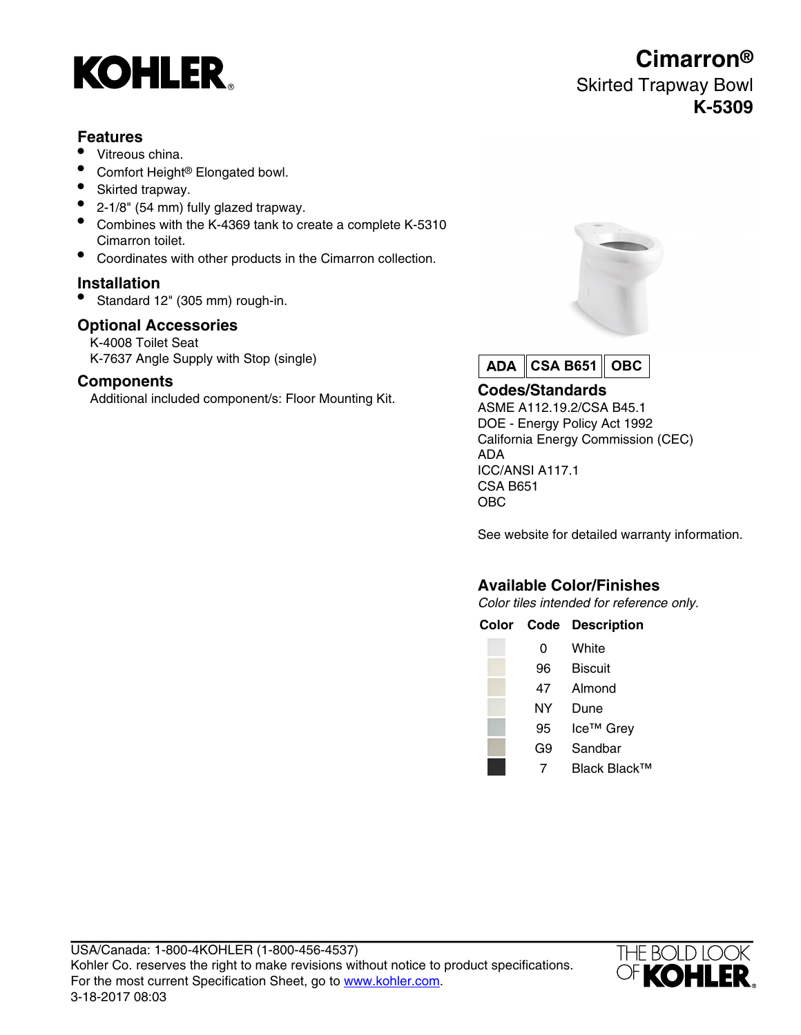

# **Features**

- Vitreous china.
- Comfort Height® Elongated bowl.
- Skirted trapway.
- 2-1/8" (54 mm) fully glazed trapway.
- Combines with the K-4369 tank to create a complete K-5310 Cimarron toilet.
- Coordinates with other products in the Cimarron collection.

### **Installation**

• Standard 12" (305 mm) rough-in.

## **Optional Accessories**

K-4008 Toilet Seat K-7637 Angle Supply with Stop (single)

## **Components**

Additional included component/s: Floor Mounting Kit. **Codes/Standards**





ASME A112.19.2/CSA B45.1 DOE - Energy Policy Act 1992 California Energy Commission (CEC) ADA ICC/ANSI A117.1 CSA B651 OBC

See website for detailed warranty information.

# **Available Color/Finishes**

Color tiles intended for reference only.

| Black Black™ |
|--------------|
|              |



# **Cimarron®** Skirted Trapway Bowl **K-5309**